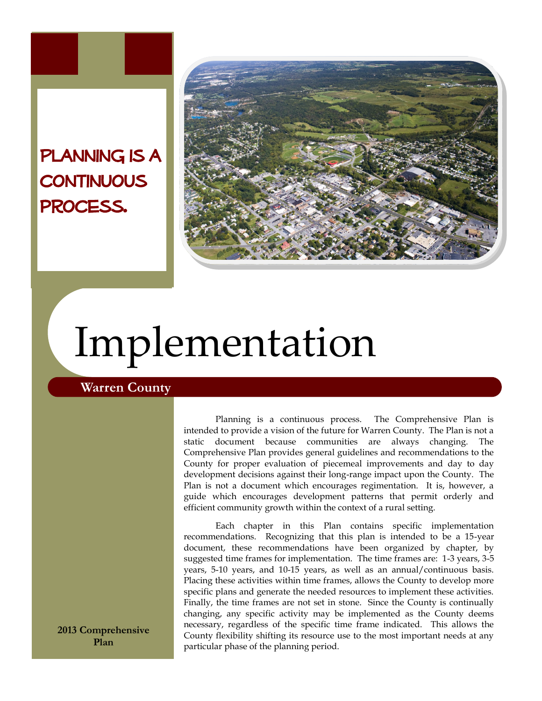## PLANNING IS A **CONTINUOUS** process.



# Implementation

## **Warren County**

Planning is a continuous process. The Comprehensive Plan is intended to provide a vision of the future for Warren County. The Plan is not a static document because communities are always changing. The Comprehensive Plan provides general guidelines and recommendations to the County for proper evaluation of piecemeal improvements and day to day development decisions against their long-range impact upon the County. The Plan is not a document which encourages regimentation. It is, however, a guide which encourages development patterns that permit orderly and efficient community growth within the context of a rural setting.

Each chapter in this Plan contains specific implementation recommendations. Recognizing that this plan is intended to be a 15-year document, these recommendations have been organized by chapter, by suggested time frames for implementation. The time frames are: 1-3 years, 3-5 years, 5-10 years, and 10-15 years, as well as an annual/continuous basis. Placing these activities within time frames, allows the County to develop more specific plans and generate the needed resources to implement these activities. Finally, the time frames are not set in stone. Since the County is continually changing, any specific activity may be implemented as the County deems necessary, regardless of the specific time frame indicated. This allows the County flexibility shifting its resource use to the most important needs at any particular phase of the planning period.

**2013 Comprehensive Plan**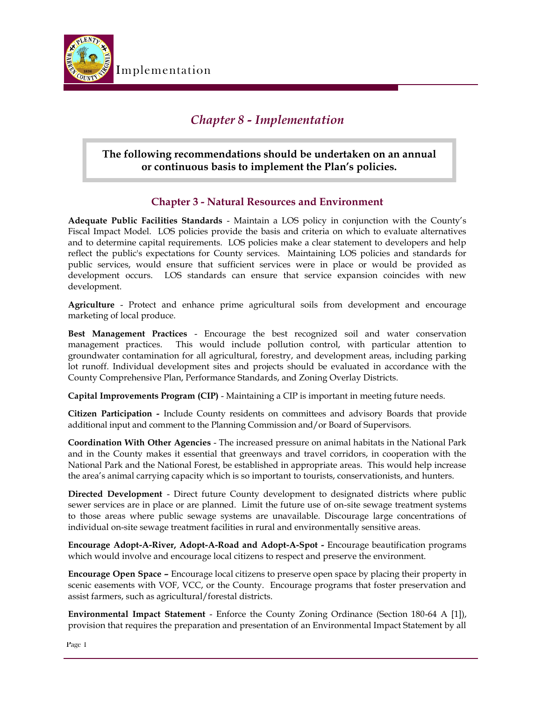

## *Chapter 8 - Implementation*

## **The following recommendations should be undertaken on an annual or continuous basis to implement the Plan's policies.**

## **Chapter 3 - Natural Resources and Environment**

**Adequate Public Facilities Standards** - Maintain a LOS policy in conjunction with the County's Fiscal Impact Model. LOS policies provide the basis and criteria on which to evaluate alternatives and to determine capital requirements. LOS policies make a clear statement to developers and help reflect the public's expectations for County services. Maintaining LOS policies and standards for public services, would ensure that sufficient services were in place or would be provided as development occurs. LOS standards can ensure that service expansion coincides with new development.

**Agriculture** - Protect and enhance prime agricultural soils from development and encourage marketing of local produce.

**Best Management Practices** - Encourage the best recognized soil and water conservation management practices. This would include pollution control, with particular attention to groundwater contamination for all agricultural, forestry, and development areas, including parking lot runoff. Individual development sites and projects should be evaluated in accordance with the County Comprehensive Plan, Performance Standards, and Zoning Overlay Districts.

**Capital Improvements Program (CIP)** - Maintaining a CIP is important in meeting future needs.

**Citizen Participation -** Include County residents on committees and advisory Boards that provide additional input and comment to the Planning Commission and/or Board of Supervisors.

**Coordination With Other Agencies** - The increased pressure on animal habitats in the National Park and in the County makes it essential that greenways and travel corridors, in cooperation with the National Park and the National Forest, be established in appropriate areas. This would help increase the area's animal carrying capacity which is so important to tourists, conservationists, and hunters.

**Directed Development** - Direct future County development to designated districts where public sewer services are in place or are planned. Limit the future use of on-site sewage treatment systems to those areas where public sewage systems are unavailable. Discourage large concentrations of individual on-site sewage treatment facilities in rural and environmentally sensitive areas.

**Encourage Adopt-A-River, Adopt-A-Road and Adopt-A-Spot -** Encourage beautification programs which would involve and encourage local citizens to respect and preserve the environment.

**Encourage Open Space –** Encourage local citizens to preserve open space by placing their property in scenic easements with VOF, VCC, or the County. Encourage programs that foster preservation and assist farmers, such as agricultural/forestal districts.

**Environmental Impact Statement** - Enforce the County Zoning Ordinance (Section 180-64 A [1]), provision that requires the preparation and presentation of an Environmental Impact Statement by all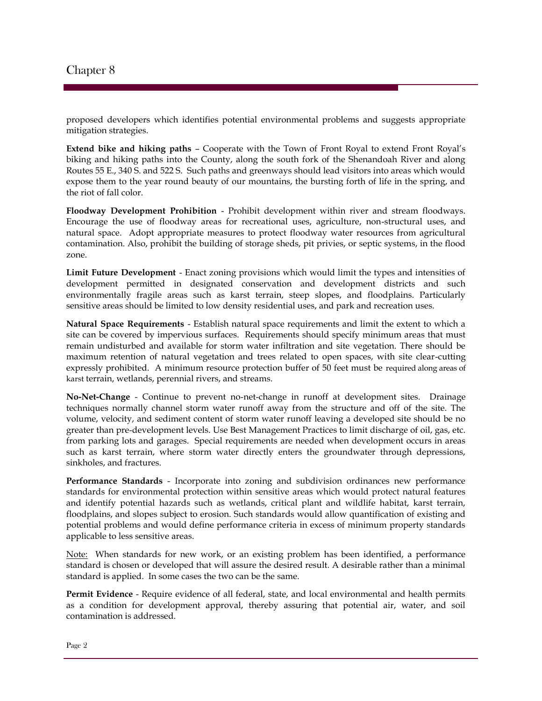proposed developers which identifies potential environmental problems and suggests appropriate mitigation strategies.

**Extend bike and hiking paths** – Cooperate with the Town of Front Royal to extend Front Royal's biking and hiking paths into the County, along the south fork of the Shenandoah River and along Routes 55 E., 340 S. and 522 S. Such paths and greenways should lead visitors into areas which would expose them to the year round beauty of our mountains, the bursting forth of life in the spring, and the riot of fall color.

**Floodway Development Prohibition** - Prohibit development within river and stream floodways. Encourage the use of floodway areas for recreational uses, agriculture, non-structural uses, and natural space. Adopt appropriate measures to protect floodway water resources from agricultural contamination. Also, prohibit the building of storage sheds, pit privies, or septic systems, in the flood zone.

**Limit Future Development** - Enact zoning provisions which would limit the types and intensities of development permitted in designated conservation and development districts and such environmentally fragile areas such as karst terrain, steep slopes, and floodplains. Particularly sensitive areas should be limited to low density residential uses, and park and recreation uses.

**Natural Space Requirements** - Establish natural space requirements and limit the extent to which a site can be covered by impervious surfaces. Requirements should specify minimum areas that must remain undisturbed and available for storm water infiltration and site vegetation. There should be maximum retention of natural vegetation and trees related to open spaces, with site clear-cutting expressly prohibited. A minimum resource protection buffer of 50 feet must be required along areas of karst terrain, wetlands, perennial rivers, and streams.

**No-Net-Change** - Continue to prevent no-net-change in runoff at development sites. Drainage techniques normally channel storm water runoff away from the structure and off of the site. The volume, velocity, and sediment content of storm water runoff leaving a developed site should be no greater than pre-development levels. Use Best Management Practices to limit discharge of oil, gas, etc. from parking lots and garages. Special requirements are needed when development occurs in areas such as karst terrain, where storm water directly enters the groundwater through depressions, sinkholes, and fractures.

**Performance Standards** - Incorporate into zoning and subdivision ordinances new performance standards for environmental protection within sensitive areas which would protect natural features and identify potential hazards such as wetlands, critical plant and wildlife habitat, karst terrain, floodplains, and slopes subject to erosion. Such standards would allow quantification of existing and potential problems and would define performance criteria in excess of minimum property standards applicable to less sensitive areas.

Note: When standards for new work, or an existing problem has been identified, a performance standard is chosen or developed that will assure the desired result. A desirable rather than a minimal standard is applied. In some cases the two can be the same.

**Permit Evidence** - Require evidence of all federal, state, and local environmental and health permits as a condition for development approval, thereby assuring that potential air, water, and soil contamination is addressed.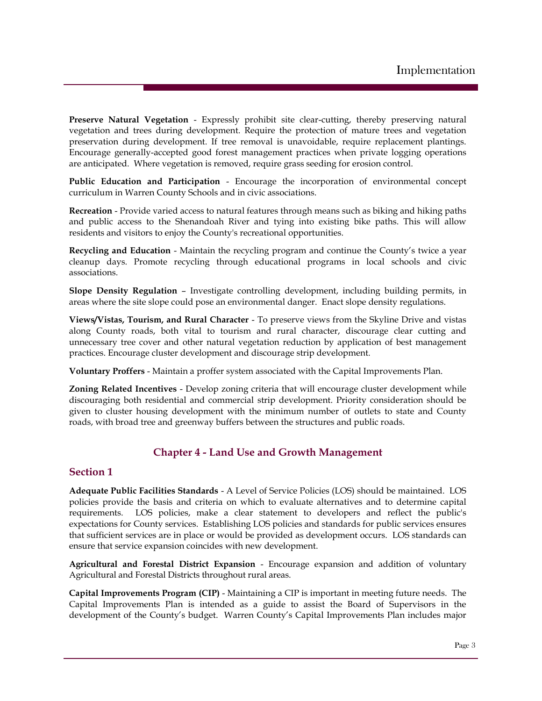**Preserve Natural Vegetation** - Expressly prohibit site clear-cutting, thereby preserving natural vegetation and trees during development. Require the protection of mature trees and vegetation preservation during development. If tree removal is unavoidable, require replacement plantings. Encourage generally-accepted good forest management practices when private logging operations are anticipated. Where vegetation is removed, require grass seeding for erosion control.

**Public Education and Participation** - Encourage the incorporation of environmental concept curriculum in Warren County Schools and in civic associations.

**Recreation** - Provide varied access to natural features through means such as biking and hiking paths and public access to the Shenandoah River and tying into existing bike paths. This will allow residents and visitors to enjoy the County's recreational opportunities.

**Recycling and Education** - Maintain the recycling program and continue the County's twice a year cleanup days. Promote recycling through educational programs in local schools and civic associations.

**Slope Density Regulation** – Investigate controlling development, including building permits, in areas where the site slope could pose an environmental danger. Enact slope density regulations.

**Views/Vistas, Tourism, and Rural Character** - To preserve views from the Skyline Drive and vistas along County roads, both vital to tourism and rural character, discourage clear cutting and unnecessary tree cover and other natural vegetation reduction by application of best management practices. Encourage cluster development and discourage strip development.

**Voluntary Proffers** - Maintain a proffer system associated with the Capital Improvements Plan.

**Zoning Related Incentives** - Develop zoning criteria that will encourage cluster development while discouraging both residential and commercial strip development. Priority consideration should be given to cluster housing development with the minimum number of outlets to state and County roads, with broad tree and greenway buffers between the structures and public roads.

## **Chapter 4 - Land Use and Growth Management**

#### **Section 1**

**Adequate Public Facilities Standards** - A Level of Service Policies (LOS) should be maintained. LOS policies provide the basis and criteria on which to evaluate alternatives and to determine capital requirements. LOS policies, make a clear statement to developers and reflect the public's expectations for County services. Establishing LOS policies and standards for public services ensures that sufficient services are in place or would be provided as development occurs. LOS standards can ensure that service expansion coincides with new development.

**Agricultural and Forestal District Expansion** - Encourage expansion and addition of voluntary Agricultural and Forestal Districts throughout rural areas.

**Capital Improvements Program (CIP)** - Maintaining a CIP is important in meeting future needs. The Capital Improvements Plan is intended as a guide to assist the Board of Supervisors in the development of the County's budget. Warren County's Capital Improvements Plan includes major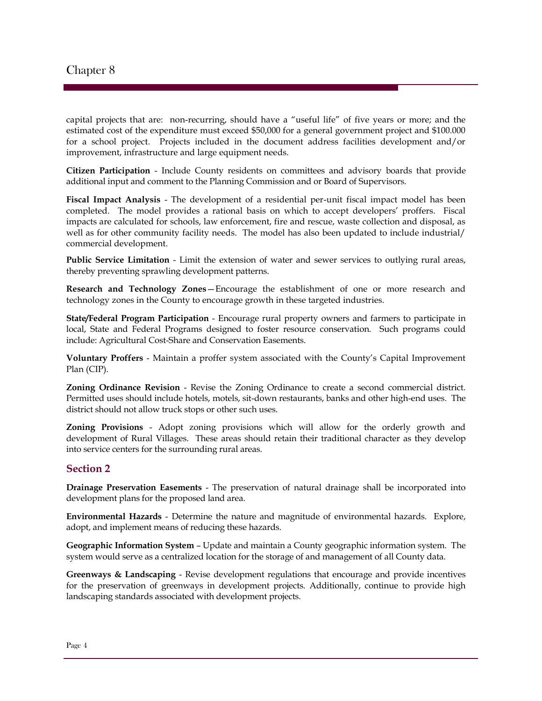capital projects that are: non-recurring, should have a "useful life" of five years or more; and the estimated cost of the expenditure must exceed \$50,000 for a general government project and \$100.000 for a school project. Projects included in the document address facilities development and/or improvement, infrastructure and large equipment needs.

**Citizen Participation** - Include County residents on committees and advisory boards that provide additional input and comment to the Planning Commission and or Board of Supervisors.

**Fiscal Impact Analysis** - The development of a residential per-unit fiscal impact model has been completed. The model provides a rational basis on which to accept developers' proffers. Fiscal impacts are calculated for schools, law enforcement, fire and rescue, waste collection and disposal, as well as for other community facility needs. The model has also been updated to include industrial/ commercial development.

**Public Service Limitation** - Limit the extension of water and sewer services to outlying rural areas, thereby preventing sprawling development patterns.

**Research and Technology Zones**—Encourage the establishment of one or more research and technology zones in the County to encourage growth in these targeted industries.

**State/Federal Program Participation** - Encourage rural property owners and farmers to participate in local, State and Federal Programs designed to foster resource conservation. Such programs could include: Agricultural Cost-Share and Conservation Easements.

**Voluntary Proffers** - Maintain a proffer system associated with the County's Capital Improvement Plan (CIP).

**Zoning Ordinance Revision** - Revise the Zoning Ordinance to create a second commercial district. Permitted uses should include hotels, motels, sit-down restaurants, banks and other high-end uses. The district should not allow truck stops or other such uses.

**Zoning Provisions** - Adopt zoning provisions which will allow for the orderly growth and development of Rural Villages. These areas should retain their traditional character as they develop into service centers for the surrounding rural areas.

#### **Section 2**

**Drainage Preservation Easements** - The preservation of natural drainage shall be incorporated into development plans for the proposed land area.

**Environmental Hazards** - Determine the nature and magnitude of environmental hazards. Explore, adopt, and implement means of reducing these hazards.

**Geographic Information System** – Update and maintain a County geographic information system. The system would serve as a centralized location for the storage of and management of all County data.

**Greenways & Landscaping** - Revise development regulations that encourage and provide incentives for the preservation of greenways in development projects. Additionally, continue to provide high landscaping standards associated with development projects.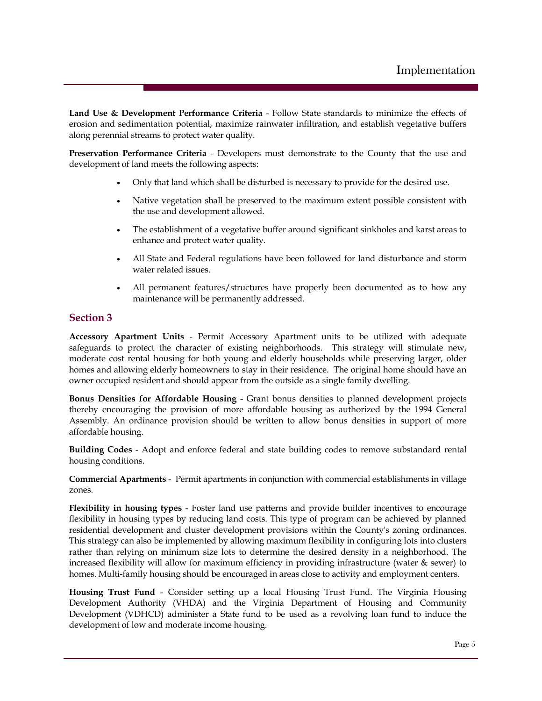**Land Use & Development Performance Criteria** - Follow State standards to minimize the effects of erosion and sedimentation potential, maximize rainwater infiltration, and establish vegetative buffers along perennial streams to protect water quality.

**Preservation Performance Criteria** - Developers must demonstrate to the County that the use and development of land meets the following aspects:

- Only that land which shall be disturbed is necessary to provide for the desired use.
- Native vegetation shall be preserved to the maximum extent possible consistent with the use and development allowed.
- The establishment of a vegetative buffer around significant sinkholes and karst areas to enhance and protect water quality.
- All State and Federal regulations have been followed for land disturbance and storm water related issues.
- All permanent features/structures have properly been documented as to how any maintenance will be permanently addressed.

#### **Section 3**

**Accessory Apartment Units** - Permit Accessory Apartment units to be utilized with adequate safeguards to protect the character of existing neighborhoods. This strategy will stimulate new, moderate cost rental housing for both young and elderly households while preserving larger, older homes and allowing elderly homeowners to stay in their residence. The original home should have an owner occupied resident and should appear from the outside as a single family dwelling.

**Bonus Densities for Affordable Housing** - Grant bonus densities to planned development projects thereby encouraging the provision of more affordable housing as authorized by the 1994 General Assembly. An ordinance provision should be written to allow bonus densities in support of more affordable housing.

**Building Codes** - Adopt and enforce federal and state building codes to remove substandard rental housing conditions.

**Commercial Apartments** - Permit apartments in conjunction with commercial establishments in village zones.

**Flexibility in housing types** - Foster land use patterns and provide builder incentives to encourage flexibility in housing types by reducing land costs. This type of program can be achieved by planned residential development and cluster development provisions within the County's zoning ordinances. This strategy can also be implemented by allowing maximum flexibility in configuring lots into clusters rather than relying on minimum size lots to determine the desired density in a neighborhood. The increased flexibility will allow for maximum efficiency in providing infrastructure (water & sewer) to homes. Multi-family housing should be encouraged in areas close to activity and employment centers.

**Housing Trust Fund** - Consider setting up a local Housing Trust Fund. The Virginia Housing Development Authority (VHDA) and the Virginia Department of Housing and Community Development (VDHCD) administer a State fund to be used as a revolving loan fund to induce the development of low and moderate income housing.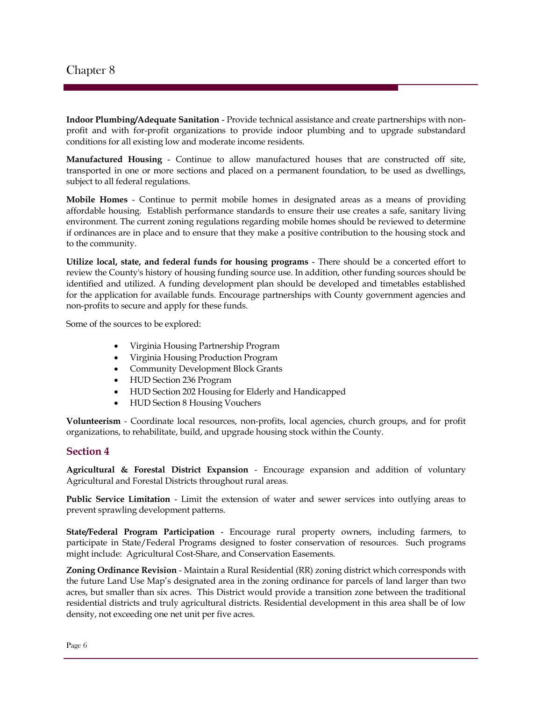**Indoor Plumbing/Adequate Sanitation** - Provide technical assistance and create partnerships with nonprofit and with for-profit organizations to provide indoor plumbing and to upgrade substandard conditions for all existing low and moderate income residents.

**Manufactured Housing** - Continue to allow manufactured houses that are constructed off site, transported in one or more sections and placed on a permanent foundation, to be used as dwellings, subject to all federal regulations.

**Mobile Homes** - Continue to permit mobile homes in designated areas as a means of providing affordable housing. Establish performance standards to ensure their use creates a safe, sanitary living environment. The current zoning regulations regarding mobile homes should be reviewed to determine if ordinances are in place and to ensure that they make a positive contribution to the housing stock and to the community.

**Utilize local, state, and federal funds for housing programs** - There should be a concerted effort to review the County's history of housing funding source use. In addition, other funding sources should be identified and utilized. A funding development plan should be developed and timetables established for the application for available funds. Encourage partnerships with County government agencies and non-profits to secure and apply for these funds.

Some of the sources to be explored:

- Virginia Housing Partnership Program
- Virginia Housing Production Program
- Community Development Block Grants
- HUD Section 236 Program
- HUD Section 202 Housing for Elderly and Handicapped
- HUD Section 8 Housing Vouchers

**Volunteerism** - Coordinate local resources, non-profits, local agencies, church groups, and for profit organizations, to rehabilitate, build, and upgrade housing stock within the County.

#### **Section 4**

**Agricultural & Forestal District Expansion** - Encourage expansion and addition of voluntary Agricultural and Forestal Districts throughout rural areas.

**Public Service Limitation** - Limit the extension of water and sewer services into outlying areas to prevent sprawling development patterns.

**State/Federal Program Participation** - Encourage rural property owners, including farmers, to participate in State/Federal Programs designed to foster conservation of resources. Such programs might include: Agricultural Cost-Share, and Conservation Easements.

**Zoning Ordinance Revision** - Maintain a Rural Residential (RR) zoning district which corresponds with the future Land Use Map's designated area in the zoning ordinance for parcels of land larger than two acres, but smaller than six acres. This District would provide a transition zone between the traditional residential districts and truly agricultural districts. Residential development in this area shall be of low density, not exceeding one net unit per five acres.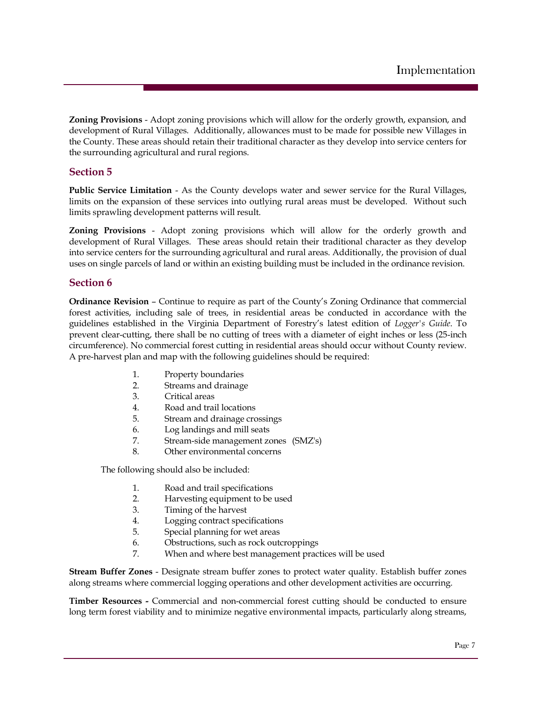**Zoning Provisions** - Adopt zoning provisions which will allow for the orderly growth, expansion, and development of Rural Villages. Additionally, allowances must to be made for possible new Villages in the County. These areas should retain their traditional character as they develop into service centers for the surrounding agricultural and rural regions.

#### **Section 5**

**Public Service Limitation** - As the County develops water and sewer service for the Rural Villages, limits on the expansion of these services into outlying rural areas must be developed. Without such limits sprawling development patterns will result.

**Zoning Provisions** - Adopt zoning provisions which will allow for the orderly growth and development of Rural Villages. These areas should retain their traditional character as they develop into service centers for the surrounding agricultural and rural areas. Additionally, the provision of dual uses on single parcels of land or within an existing building must be included in the ordinance revision.

#### **Section 6**

**Ordinance Revision** – Continue to require as part of the County's Zoning Ordinance that commercial forest activities, including sale of trees, in residential areas be conducted in accordance with the guidelines established in the Virginia Department of Forestry's latest edition of *Logger's Guide*. To prevent clear-cutting, there shall be no cutting of trees with a diameter of eight inches or less (25-inch circumference). No commercial forest cutting in residential areas should occur without County review. A pre-harvest plan and map with the following guidelines should be required:

- 1. Property boundaries
- 2. Streams and drainage
- 3. Critical areas
- 4. Road and trail locations
- 5. Stream and drainage crossings
- 6. Log landings and mill seats
- 7. Stream-side management zones (SMZ's)
- 8. Other environmental concerns

The following should also be included:

- 1. Road and trail specifications
- 2. Harvesting equipment to be used
- 3. Timing of the harvest
- 4. Logging contract specifications
- 5. Special planning for wet areas
- 6. Obstructions, such as rock outcroppings
- 7. When and where best management practices will be used

**Stream Buffer Zones** - Designate stream buffer zones to protect water quality. Establish buffer zones along streams where commercial logging operations and other development activities are occurring.

**Timber Resources -** Commercial and non-commercial forest cutting should be conducted to ensure long term forest viability and to minimize negative environmental impacts, particularly along streams,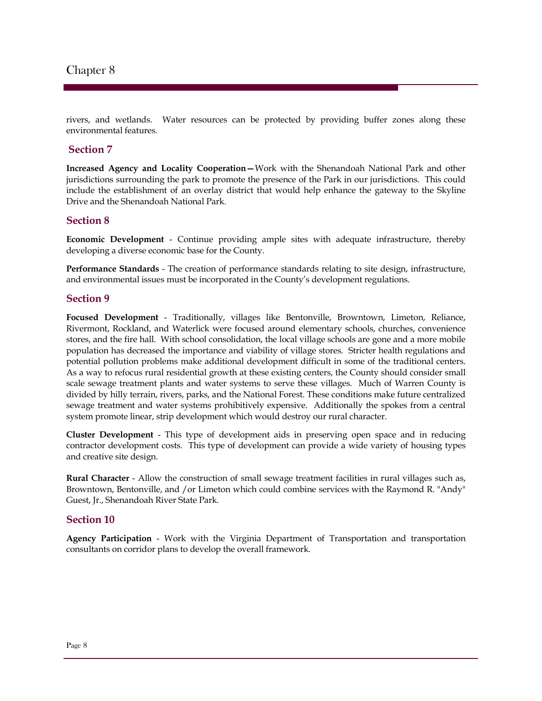rivers, and wetlands. Water resources can be protected by providing buffer zones along these environmental features.

#### **Section 7**

**Increased Agency and Locality Cooperation—**Work with the Shenandoah National Park and other jurisdictions surrounding the park to promote the presence of the Park in our jurisdictions. This could include the establishment of an overlay district that would help enhance the gateway to the Skyline Drive and the Shenandoah National Park.

#### **Section 8**

**Economic Development** - Continue providing ample sites with adequate infrastructure, thereby developing a diverse economic base for the County.

**Performance Standards** - The creation of performance standards relating to site design, infrastructure, and environmental issues must be incorporated in the County's development regulations.

#### **Section 9**

**Focused Development** - Traditionally, villages like Bentonville, Browntown, Limeton, Reliance, Rivermont, Rockland, and Waterlick were focused around elementary schools, churches, convenience stores, and the fire hall. With school consolidation, the local village schools are gone and a more mobile population has decreased the importance and viability of village stores. Stricter health regulations and potential pollution problems make additional development difficult in some of the traditional centers. As a way to refocus rural residential growth at these existing centers, the County should consider small scale sewage treatment plants and water systems to serve these villages. Much of Warren County is divided by hilly terrain, rivers, parks, and the National Forest. These conditions make future centralized sewage treatment and water systems prohibitively expensive. Additionally the spokes from a central system promote linear, strip development which would destroy our rural character.

**Cluster Development** - This type of development aids in preserving open space and in reducing contractor development costs. This type of development can provide a wide variety of housing types and creative site design.

**Rural Character** - Allow the construction of small sewage treatment facilities in rural villages such as, Browntown, Bentonville, and /or Limeton which could combine services with the Raymond R. "Andy" Guest, Jr., Shenandoah River State Park.

#### **Section 10**

**Agency Participation** - Work with the Virginia Department of Transportation and transportation consultants on corridor plans to develop the overall framework.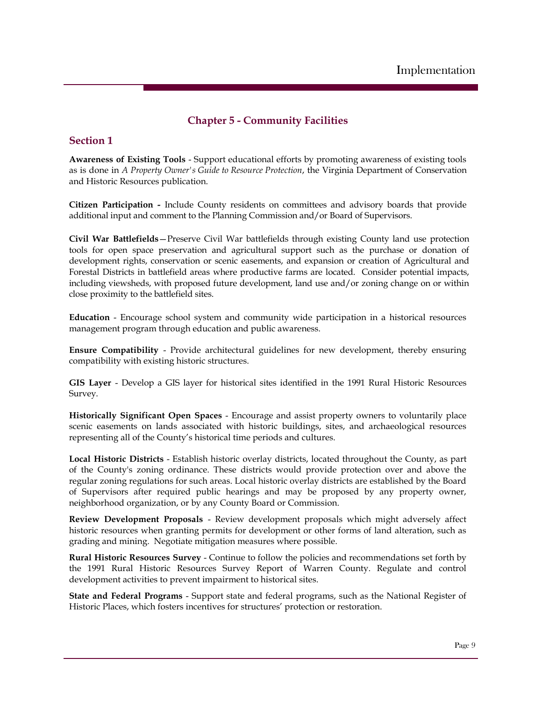## **Chapter 5 - Community Facilities**

### **Section 1**

**Awareness of Existing Tools** - Support educational efforts by promoting awareness of existing tools as is done in *A Property Owner's Guide to Resource Protection*, the Virginia Department of Conservation and Historic Resources publication.

**Citizen Participation -** Include County residents on committees and advisory boards that provide additional input and comment to the Planning Commission and/or Board of Supervisors.

**Civil War Battlefields**—Preserve Civil War battlefields through existing County land use protection tools for open space preservation and agricultural support such as the purchase or donation of development rights, conservation or scenic easements, and expansion or creation of Agricultural and Forestal Districts in battlefield areas where productive farms are located. Consider potential impacts, including viewsheds, with proposed future development, land use and/or zoning change on or within close proximity to the battlefield sites.

**Education** - Encourage school system and community wide participation in a historical resources management program through education and public awareness.

**Ensure Compatibility** - Provide architectural guidelines for new development, thereby ensuring compatibility with existing historic structures.

**GIS Layer** - Develop a GIS layer for historical sites identified in the 1991 Rural Historic Resources Survey.

**Historically Significant Open Spaces** - Encourage and assist property owners to voluntarily place scenic easements on lands associated with historic buildings, sites, and archaeological resources representing all of the County's historical time periods and cultures.

**Local Historic Districts** - Establish historic overlay districts, located throughout the County, as part of the County's zoning ordinance. These districts would provide protection over and above the regular zoning regulations for such areas. Local historic overlay districts are established by the Board of Supervisors after required public hearings and may be proposed by any property owner, neighborhood organization, or by any County Board or Commission.

**Review Development Proposals** - Review development proposals which might adversely affect historic resources when granting permits for development or other forms of land alteration, such as grading and mining. Negotiate mitigation measures where possible.

**Rural Historic Resources Survey** - Continue to follow the policies and recommendations set forth by the 1991 Rural Historic Resources Survey Report of Warren County. Regulate and control development activities to prevent impairment to historical sites.

**State and Federal Programs** - Support state and federal programs, such as the National Register of Historic Places, which fosters incentives for structures' protection or restoration.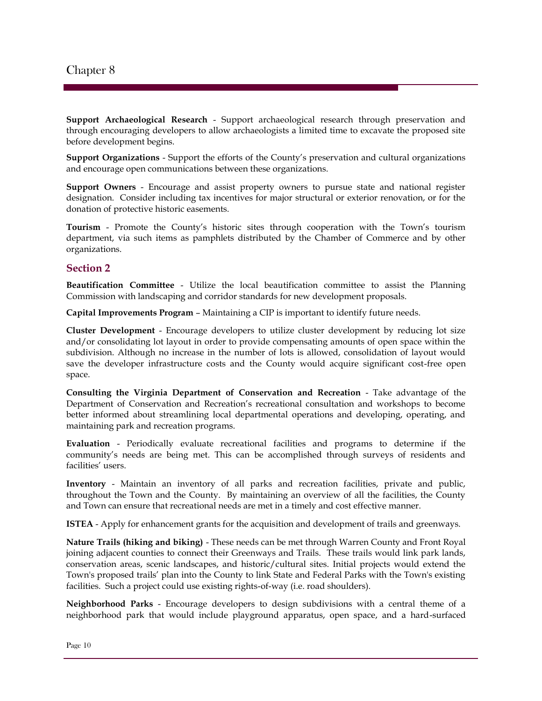**Support Archaeological Research** - Support archaeological research through preservation and through encouraging developers to allow archaeologists a limited time to excavate the proposed site before development begins.

**Support Organizations** - Support the efforts of the County's preservation and cultural organizations and encourage open communications between these organizations.

**Support Owners** - Encourage and assist property owners to pursue state and national register designation. Consider including tax incentives for major structural or exterior renovation, or for the donation of protective historic easements.

**Tourism** - Promote the County's historic sites through cooperation with the Town's tourism department, via such items as pamphlets distributed by the Chamber of Commerce and by other organizations.

#### **Section 2**

**Beautification Committee** - Utilize the local beautification committee to assist the Planning Commission with landscaping and corridor standards for new development proposals.

**Capital Improvements Program** – Maintaining a CIP is important to identify future needs.

**Cluster Development** - Encourage developers to utilize cluster development by reducing lot size and/or consolidating lot layout in order to provide compensating amounts of open space within the subdivision. Although no increase in the number of lots is allowed, consolidation of layout would save the developer infrastructure costs and the County would acquire significant cost-free open space.

**Consulting the Virginia Department of Conservation and Recreation** - Take advantage of the Department of Conservation and Recreation's recreational consultation and workshops to become better informed about streamlining local departmental operations and developing, operating, and maintaining park and recreation programs.

**Evaluation** - Periodically evaluate recreational facilities and programs to determine if the community's needs are being met. This can be accomplished through surveys of residents and facilities' users.

**Inventory** - Maintain an inventory of all parks and recreation facilities, private and public, throughout the Town and the County. By maintaining an overview of all the facilities, the County and Town can ensure that recreational needs are met in a timely and cost effective manner.

**ISTEA** - Apply for enhancement grants for the acquisition and development of trails and greenways.

**Nature Trails (hiking and biking)** - These needs can be met through Warren County and Front Royal joining adjacent counties to connect their Greenways and Trails. These trails would link park lands, conservation areas, scenic landscapes, and historic/cultural sites. Initial projects would extend the Town's proposed trails' plan into the County to link State and Federal Parks with the Town's existing facilities. Such a project could use existing rights-of-way (i.e. road shoulders).

**Neighborhood Parks** - Encourage developers to design subdivisions with a central theme of a neighborhood park that would include playground apparatus, open space, and a hard-surfaced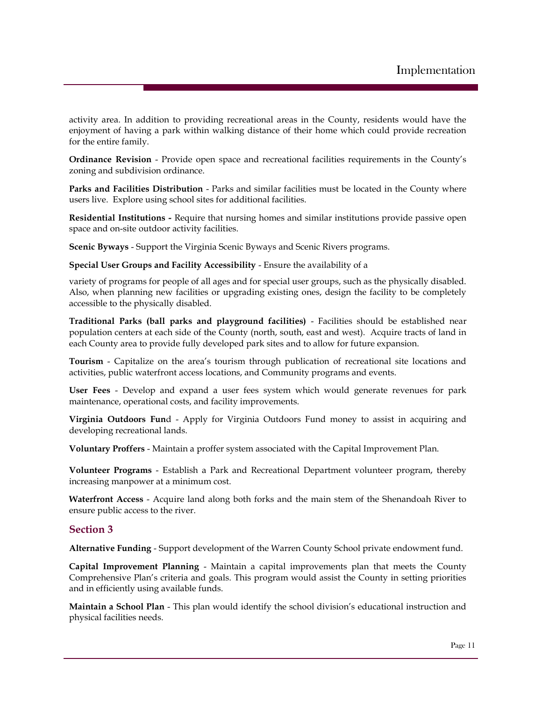activity area. In addition to providing recreational areas in the County, residents would have the enjoyment of having a park within walking distance of their home which could provide recreation for the entire family.

**Ordinance Revision** - Provide open space and recreational facilities requirements in the County's zoning and subdivision ordinance.

**Parks and Facilities Distribution** - Parks and similar facilities must be located in the County where users live. Explore using school sites for additional facilities.

**Residential Institutions -** Require that nursing homes and similar institutions provide passive open space and on-site outdoor activity facilities.

**Scenic Byways** - Support the Virginia Scenic Byways and Scenic Rivers programs.

**Special User Groups and Facility Accessibility** - Ensure the availability of a

variety of programs for people of all ages and for special user groups, such as the physically disabled. Also, when planning new facilities or upgrading existing ones, design the facility to be completely accessible to the physically disabled.

**Traditional Parks (ball parks and playground facilities)** - Facilities should be established near population centers at each side of the County (north, south, east and west). Acquire tracts of land in each County area to provide fully developed park sites and to allow for future expansion.

**Tourism** - Capitalize on the area's tourism through publication of recreational site locations and activities, public waterfront access locations, and Community programs and events.

**User Fees** - Develop and expand a user fees system which would generate revenues for park maintenance, operational costs, and facility improvements.

**Virginia Outdoors Fun**d - Apply for Virginia Outdoors Fund money to assist in acquiring and developing recreational lands.

**Voluntary Proffers** - Maintain a proffer system associated with the Capital Improvement Plan.

**Volunteer Programs** - Establish a Park and Recreational Department volunteer program, thereby increasing manpower at a minimum cost.

**Waterfront Access** - Acquire land along both forks and the main stem of the Shenandoah River to ensure public access to the river.

#### **Section 3**

**Alternative Funding** - Support development of the Warren County School private endowment fund.

**Capital Improvement Planning** - Maintain a capital improvements plan that meets the County Comprehensive Plan's criteria and goals. This program would assist the County in setting priorities and in efficiently using available funds.

**Maintain a School Plan** - This plan would identify the school division's educational instruction and physical facilities needs.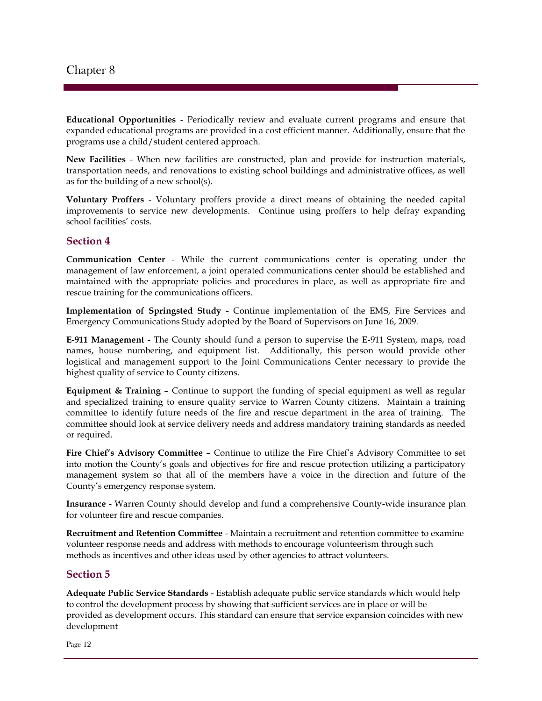**Educational Opportunities** - Periodically review and evaluate current programs and ensure that expanded educational programs are provided in a cost efficient manner. Additionally, ensure that the programs use a child/student centered approach.

**New Facilities** - When new facilities are constructed, plan and provide for instruction materials, transportation needs, and renovations to existing school buildings and administrative offices, as well as for the building of a new school(s).

**Voluntary Proffers** - Voluntary proffers provide a direct means of obtaining the needed capital improvements to service new developments. Continue using proffers to help defray expanding school facilities' costs.

#### **Section 4**

**Communication Center** - While the current communications center is operating under the management of law enforcement, a joint operated communications center should be established and maintained with the appropriate policies and procedures in place, as well as appropriate fire and rescue training for the communications officers.

**Implementation of Springsted Study** - Continue implementation of the EMS, Fire Services and Emergency Communications Study adopted by the Board of Supervisors on June 16, 2009.

**E-911 Management** - The County should fund a person to supervise the E-911 System, maps, road names, house numbering, and equipment list. Additionally, this person would provide other logistical and management support to the Joint Communications Center necessary to provide the highest quality of service to County citizens.

**Equipment & Training** – Continue to support the funding of special equipment as well as regular and specialized training to ensure quality service to Warren County citizens. Maintain a training committee to identify future needs of the fire and rescue department in the area of training. The committee should look at service delivery needs and address mandatory training standards as needed or required.

**Fire Chief's Advisory Committee** – Continue to utilize the Fire Chief's Advisory Committee to set into motion the County's goals and objectives for fire and rescue protection utilizing a participatory management system so that all of the members have a voice in the direction and future of the County's emergency response system.

**Insurance** - Warren County should develop and fund a comprehensive County-wide insurance plan for volunteer fire and rescue companies.

**Recruitment and Retention Committee** - Maintain a recruitment and retention committee to examine volunteer response needs and address with methods to encourage volunteerism through such methods as incentives and other ideas used by other agencies to attract volunteers.

#### **Section 5**

**Adequate Public Service Standards** - Establish adequate public service standards which would help to control the development process by showing that sufficient services are in place or will be provided as development occurs. This standard can ensure that service expansion coincides with new development

Page 12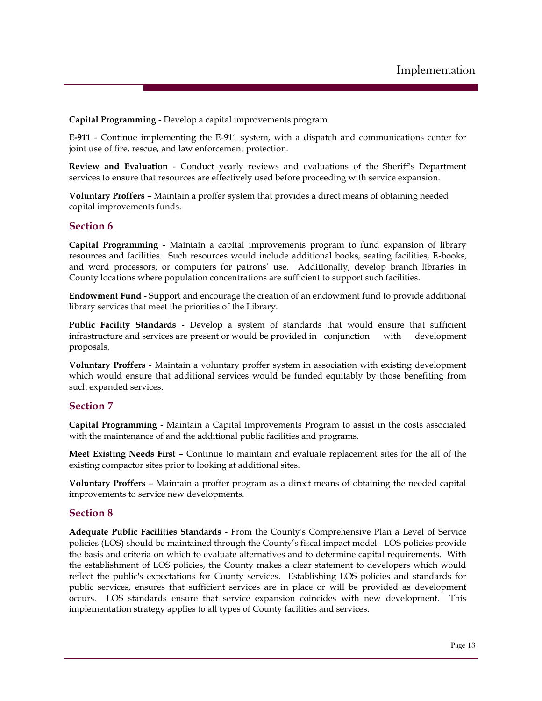**Capital Programming** - Develop a capital improvements program.

**E-911** - Continue implementing the E-911 system, with a dispatch and communications center for joint use of fire, rescue, and law enforcement protection.

**Review and Evaluation** - Conduct yearly reviews and evaluations of the Sheriff's Department services to ensure that resources are effectively used before proceeding with service expansion.

**Voluntary Proffers** – Maintain a proffer system that provides a direct means of obtaining needed capital improvements funds.

#### **Section 6**

**Capital Programming** - Maintain a capital improvements program to fund expansion of library resources and facilities. Such resources would include additional books, seating facilities, E-books, and word processors, or computers for patrons' use. Additionally, develop branch libraries in County locations where population concentrations are sufficient to support such facilities.

**Endowment Fund** - Support and encourage the creation of an endowment fund to provide additional library services that meet the priorities of the Library.

**Public Facility Standards** - Develop a system of standards that would ensure that sufficient infrastructure and services are present or would be provided in conjunction with development proposals.

**Voluntary Proffers** - Maintain a voluntary proffer system in association with existing development which would ensure that additional services would be funded equitably by those benefiting from such expanded services.

#### **Section 7**

**Capital Programming** - Maintain a Capital Improvements Program to assist in the costs associated with the maintenance of and the additional public facilities and programs.

**Meet Existing Needs First** – Continue to maintain and evaluate replacement sites for the all of the existing compactor sites prior to looking at additional sites.

**Voluntary Proffers** – Maintain a proffer program as a direct means of obtaining the needed capital improvements to service new developments.

#### **Section 8**

**Adequate Public Facilities Standards** - From the County's Comprehensive Plan a Level of Service policies (LOS) should be maintained through the County's fiscal impact model. LOS policies provide the basis and criteria on which to evaluate alternatives and to determine capital requirements. With the establishment of LOS policies, the County makes a clear statement to developers which would reflect the public's expectations for County services. Establishing LOS policies and standards for public services, ensures that sufficient services are in place or will be provided as development occurs. LOS standards ensure that service expansion coincides with new development. This implementation strategy applies to all types of County facilities and services.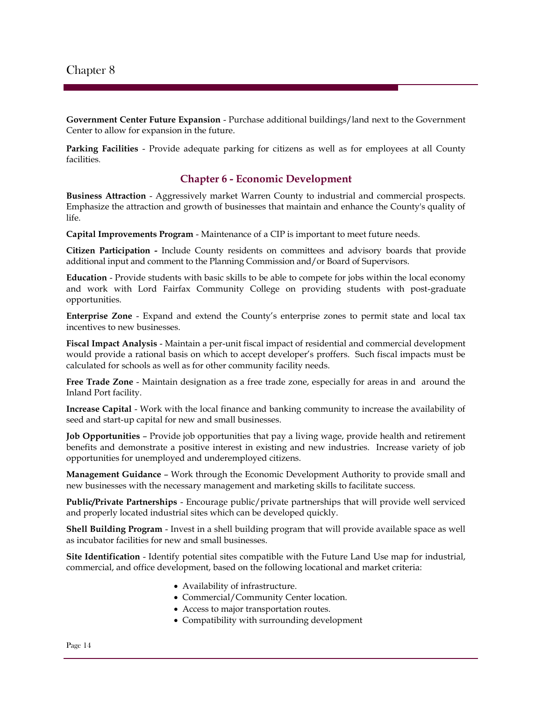**Government Center Future Expansion** - Purchase additional buildings/land next to the Government Center to allow for expansion in the future.

**Parking Facilities** - Provide adequate parking for citizens as well as for employees at all County facilities.

#### **Chapter 6 - Economic Development**

**Business Attraction** - Aggressively market Warren County to industrial and commercial prospects. Emphasize the attraction and growth of businesses that maintain and enhance the County's quality of life.

**Capital Improvements Program** - Maintenance of a CIP is important to meet future needs.

**Citizen Participation -** Include County residents on committees and advisory boards that provide additional input and comment to the Planning Commission and/or Board of Supervisors.

**Education** - Provide students with basic skills to be able to compete for jobs within the local economy and work with Lord Fairfax Community College on providing students with post-graduate opportunities.

**Enterprise Zone** - Expand and extend the County's enterprise zones to permit state and local tax incentives to new businesses.

**Fiscal Impact Analysis** - Maintain a per-unit fiscal impact of residential and commercial development would provide a rational basis on which to accept developer's proffers. Such fiscal impacts must be calculated for schools as well as for other community facility needs.

**Free Trade Zone** - Maintain designation as a free trade zone, especially for areas in and around the Inland Port facility.

**Increase Capital** - Work with the local finance and banking community to increase the availability of seed and start-up capital for new and small businesses.

**Job Opportunities** – Provide job opportunities that pay a living wage, provide health and retirement benefits and demonstrate a positive interest in existing and new industries. Increase variety of job opportunities for unemployed and underemployed citizens.

**Management Guidance** – Work through the Economic Development Authority to provide small and new businesses with the necessary management and marketing skills to facilitate success.

**Public/Private Partnerships** - Encourage public/private partnerships that will provide well serviced and properly located industrial sites which can be developed quickly.

**Shell Building Program** - Invest in a shell building program that will provide available space as well as incubator facilities for new and small businesses.

**Site Identification** - Identify potential sites compatible with the Future Land Use map for industrial, commercial, and office development, based on the following locational and market criteria:

- Availability of infrastructure.
- Commercial/Community Center location.
- Access to major transportation routes.
- Compatibility with surrounding development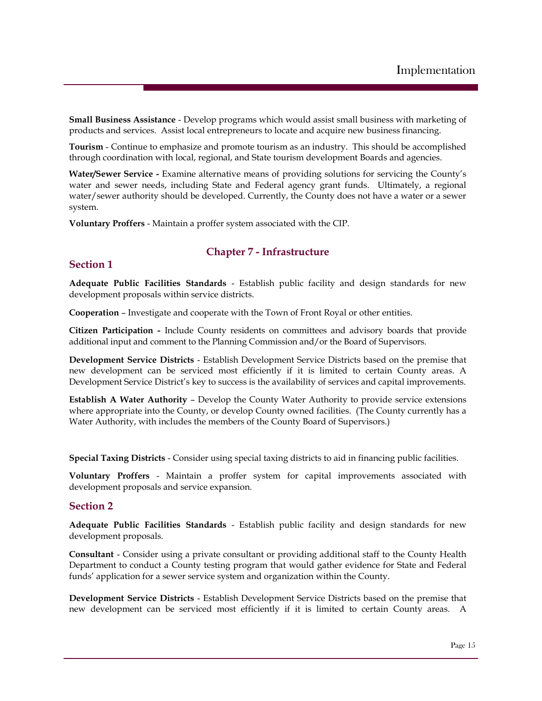**Small Business Assistance** - Develop programs which would assist small business with marketing of products and services. Assist local entrepreneurs to locate and acquire new business financing.

**Tourism** - Continue to emphasize and promote tourism as an industry. This should be accomplished through coordination with local, regional, and State tourism development Boards and agencies.

**Water/Sewer Service -** Examine alternative means of providing solutions for servicing the County's water and sewer needs, including State and Federal agency grant funds. Ultimately, a regional water/sewer authority should be developed. Currently, the County does not have a water or a sewer system.

**Voluntary Proffers** - Maintain a proffer system associated with the CIP.

#### **Chapter 7 - Infrastructure**

#### **Section 1**

**Adequate Public Facilities Standards** - Establish public facility and design standards for new development proposals within service districts.

**Cooperation** – Investigate and cooperate with the Town of Front Royal or other entities.

**Citizen Participation -** Include County residents on committees and advisory boards that provide additional input and comment to the Planning Commission and/or the Board of Supervisors.

**Development Service Districts** - Establish Development Service Districts based on the premise that new development can be serviced most efficiently if it is limited to certain County areas. A Development Service District's key to success is the availability of services and capital improvements.

**Establish A Water Authority** – Develop the County Water Authority to provide service extensions where appropriate into the County, or develop County owned facilities. (The County currently has a Water Authority, with includes the members of the County Board of Supervisors.)

**Special Taxing Districts** - Consider using special taxing districts to aid in financing public facilities.

**Voluntary Proffers** - Maintain a proffer system for capital improvements associated with development proposals and service expansion.

#### **Section 2**

**Adequate Public Facilities Standards** - Establish public facility and design standards for new development proposals.

**Consultant** - Consider using a private consultant or providing additional staff to the County Health Department to conduct a County testing program that would gather evidence for State and Federal funds' application for a sewer service system and organization within the County.

**Development Service Districts** - Establish Development Service Districts based on the premise that new development can be serviced most efficiently if it is limited to certain County areas. A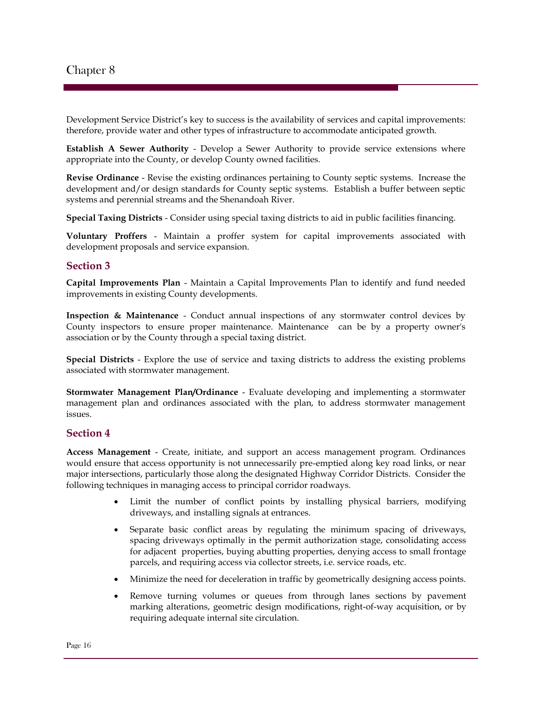Development Service District's key to success is the availability of services and capital improvements: therefore, provide water and other types of infrastructure to accommodate anticipated growth.

**Establish A Sewer Authority** - Develop a Sewer Authority to provide service extensions where appropriate into the County, or develop County owned facilities.

**Revise Ordinance** - Revise the existing ordinances pertaining to County septic systems. Increase the development and/or design standards for County septic systems. Establish a buffer between septic systems and perennial streams and the Shenandoah River.

**Special Taxing Districts** - Consider using special taxing districts to aid in public facilities financing.

**Voluntary Proffers** - Maintain a proffer system for capital improvements associated with development proposals and service expansion.

#### **Section 3**

**Capital Improvements Plan** - Maintain a Capital Improvements Plan to identify and fund needed improvements in existing County developments.

**Inspection & Maintenance** - Conduct annual inspections of any stormwater control devices by County inspectors to ensure proper maintenance. Maintenance can be by a property owner's association or by the County through a special taxing district.

**Special Districts** - Explore the use of service and taxing districts to address the existing problems associated with stormwater management.

**Stormwater Management Plan/Ordinance** - Evaluate developing and implementing a stormwater management plan and ordinances associated with the plan, to address stormwater management issues.

#### **Section 4**

**Access Management** - Create, initiate, and support an access management program. Ordinances would ensure that access opportunity is not unnecessarily pre-emptied along key road links, or near major intersections, particularly those along the designated Highway Corridor Districts. Consider the following techniques in managing access to principal corridor roadways.

- Limit the number of conflict points by installing physical barriers, modifying driveways, and installing signals at entrances.
- Separate basic conflict areas by regulating the minimum spacing of driveways, spacing driveways optimally in the permit authorization stage, consolidating access for adjacent properties, buying abutting properties, denying access to small frontage parcels, and requiring access via collector streets, i.e. service roads, etc.
- Minimize the need for deceleration in traffic by geometrically designing access points.
- Remove turning volumes or queues from through lanes sections by pavement marking alterations, geometric design modifications, right-of-way acquisition, or by requiring adequate internal site circulation.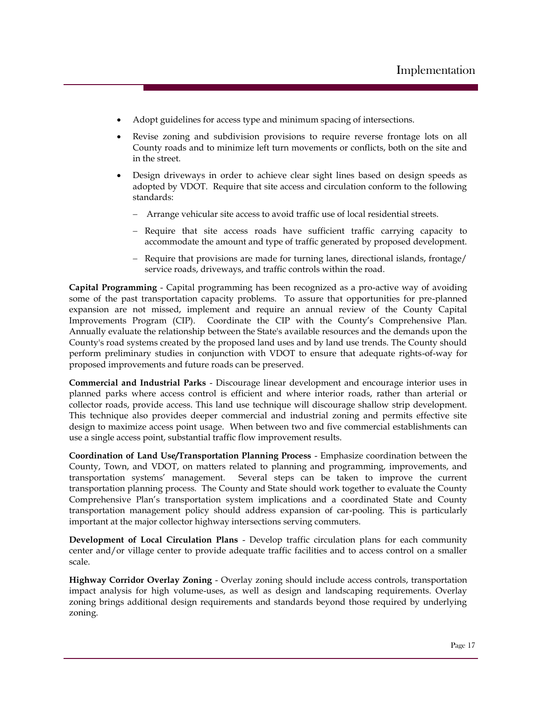- Adopt guidelines for access type and minimum spacing of intersections.
- Revise zoning and subdivision provisions to require reverse frontage lots on all County roads and to minimize left turn movements or conflicts, both on the site and in the street.
- Design driveways in order to achieve clear sight lines based on design speeds as adopted by VDOT. Require that site access and circulation conform to the following standards:
	- Arrange vehicular site access to avoid traffic use of local residential streets.
	- Require that site access roads have sufficient traffic carrying capacity to accommodate the amount and type of traffic generated by proposed development.
	- Require that provisions are made for turning lanes, directional islands, frontage/ service roads, driveways, and traffic controls within the road.

**Capital Programming** - Capital programming has been recognized as a pro-active way of avoiding some of the past transportation capacity problems. To assure that opportunities for pre-planned expansion are not missed, implement and require an annual review of the County Capital Improvements Program (CIP). Coordinate the CIP with the County's Comprehensive Plan. Annually evaluate the relationship between the State's available resources and the demands upon the County's road systems created by the proposed land uses and by land use trends. The County should perform preliminary studies in conjunction with VDOT to ensure that adequate rights-of-way for proposed improvements and future roads can be preserved.

**Commercial and Industrial Parks** - Discourage linear development and encourage interior uses in planned parks where access control is efficient and where interior roads, rather than arterial or collector roads, provide access. This land use technique will discourage shallow strip development. This technique also provides deeper commercial and industrial zoning and permits effective site design to maximize access point usage. When between two and five commercial establishments can use a single access point, substantial traffic flow improvement results.

**Coordination of Land Use/Transportation Planning Process** - Emphasize coordination between the County, Town, and VDOT, on matters related to planning and programming, improvements, and transportation systems' management. Several steps can be taken to improve the current transportation planning process. The County and State should work together to evaluate the County Comprehensive Plan's transportation system implications and a coordinated State and County transportation management policy should address expansion of car-pooling. This is particularly important at the major collector highway intersections serving commuters.

**Development of Local Circulation Plans** - Develop traffic circulation plans for each community center and/or village center to provide adequate traffic facilities and to access control on a smaller scale.

**Highway Corridor Overlay Zoning** - Overlay zoning should include access controls, transportation impact analysis for high volume-uses, as well as design and landscaping requirements. Overlay zoning brings additional design requirements and standards beyond those required by underlying zoning.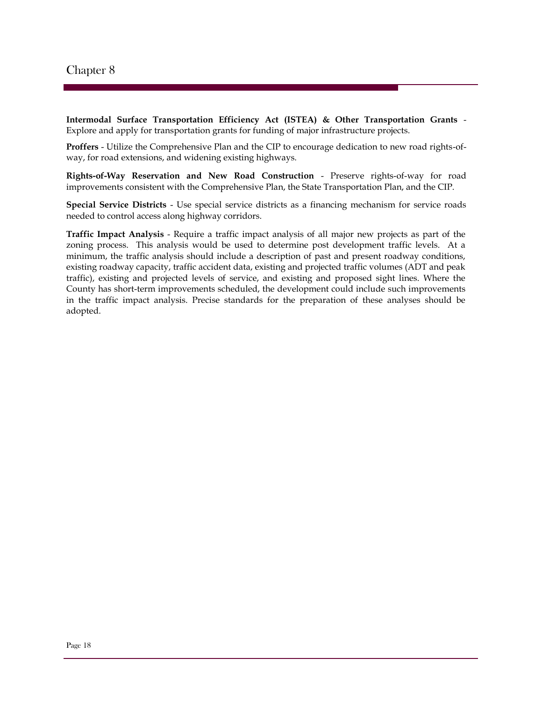**Intermodal Surface Transportation Efficiency Act (ISTEA) & Other Transportation Grants** - Explore and apply for transportation grants for funding of major infrastructure projects.

**Proffers** - Utilize the Comprehensive Plan and the CIP to encourage dedication to new road rights-ofway, for road extensions, and widening existing highways.

**Rights-of-Way Reservation and New Road Construction** - Preserve rights-of-way for road improvements consistent with the Comprehensive Plan, the State Transportation Plan, and the CIP.

**Special Service Districts** - Use special service districts as a financing mechanism for service roads needed to control access along highway corridors.

**Traffic Impact Analysis** - Require a traffic impact analysis of all major new projects as part of the zoning process. This analysis would be used to determine post development traffic levels. At a minimum, the traffic analysis should include a description of past and present roadway conditions, existing roadway capacity, traffic accident data, existing and projected traffic volumes (ADT and peak traffic), existing and projected levels of service, and existing and proposed sight lines. Where the County has short-term improvements scheduled, the development could include such improvements in the traffic impact analysis. Precise standards for the preparation of these analyses should be adopted.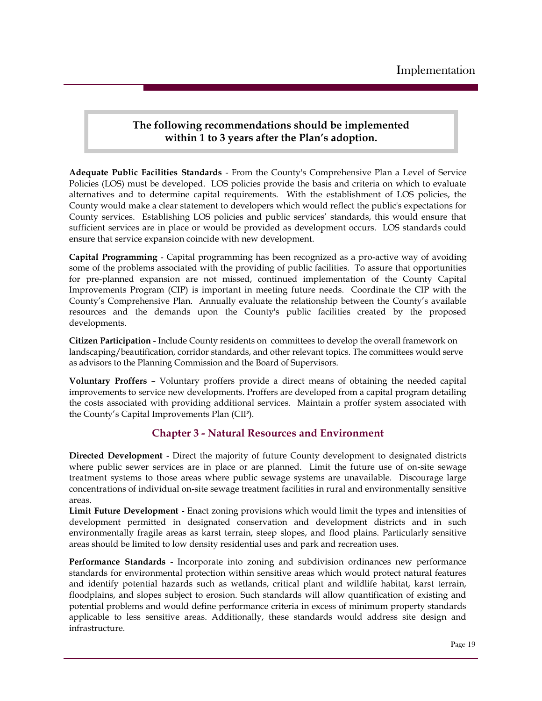## **The following recommendations should be implemented within 1 to 3 years after the Plan's adoption.**

**Adequate Public Facilities Standards** - From the County's Comprehensive Plan a Level of Service Policies (LOS) must be developed. LOS policies provide the basis and criteria on which to evaluate alternatives and to determine capital requirements. With the establishment of LOS policies, the County would make a clear statement to developers which would reflect the public's expectations for County services. Establishing LOS policies and public services' standards, this would ensure that sufficient services are in place or would be provided as development occurs. LOS standards could ensure that service expansion coincide with new development.

**Capital Programming** - Capital programming has been recognized as a pro-active way of avoiding some of the problems associated with the providing of public facilities. To assure that opportunities for pre-planned expansion are not missed, continued implementation of the County Capital Improvements Program (CIP) is important in meeting future needs. Coordinate the CIP with the County's Comprehensive Plan. Annually evaluate the relationship between the County's available resources and the demands upon the County's public facilities created by the proposed developments.

**Citizen Participation** - Include County residents on committees to develop the overall framework on landscaping/beautification, corridor standards, and other relevant topics. The committees would serve as advisors to the Planning Commission and the Board of Supervisors.

**Voluntary Proffers** – Voluntary proffers provide a direct means of obtaining the needed capital improvements to service new developments. Proffers are developed from a capital program detailing the costs associated with providing additional services. Maintain a proffer system associated with the County's Capital Improvements Plan (CIP).

## **Chapter 3 - Natural Resources and Environment**

**Directed Development** - Direct the majority of future County development to designated districts where public sewer services are in place or are planned. Limit the future use of on-site sewage treatment systems to those areas where public sewage systems are unavailable. Discourage large concentrations of individual on-site sewage treatment facilities in rural and environmentally sensitive areas.

**Limit Future Development** - Enact zoning provisions which would limit the types and intensities of development permitted in designated conservation and development districts and in such environmentally fragile areas as karst terrain, steep slopes, and flood plains. Particularly sensitive areas should be limited to low density residential uses and park and recreation uses.

**Performance Standards** - Incorporate into zoning and subdivision ordinances new performance standards for environmental protection within sensitive areas which would protect natural features and identify potential hazards such as wetlands, critical plant and wildlife habitat, karst terrain, floodplains, and slopes subject to erosion. Such standards will allow quantification of existing and potential problems and would define performance criteria in excess of minimum property standards applicable to less sensitive areas. Additionally, these standards would address site design and infrastructure.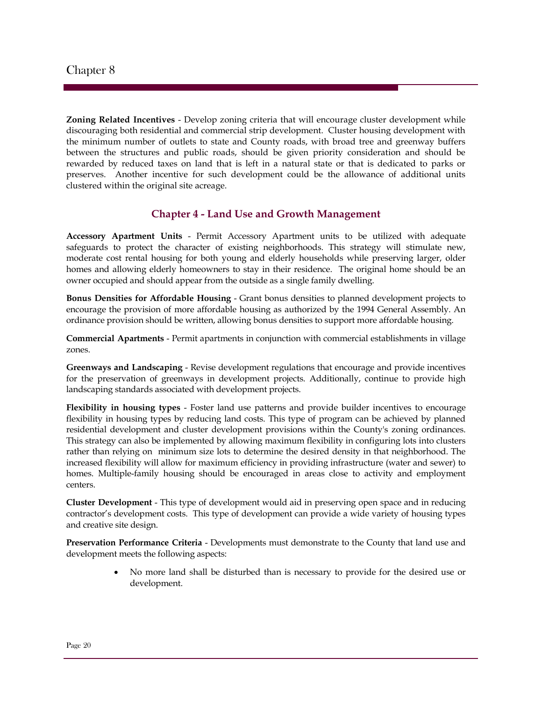**Zoning Related Incentives** - Develop zoning criteria that will encourage cluster development while discouraging both residential and commercial strip development. Cluster housing development with the minimum number of outlets to state and County roads, with broad tree and greenway buffers between the structures and public roads, should be given priority consideration and should be rewarded by reduced taxes on land that is left in a natural state or that is dedicated to parks or preserves. Another incentive for such development could be the allowance of additional units clustered within the original site acreage.

## **Chapter 4 - Land Use and Growth Management**

**Accessory Apartment Units** - Permit Accessory Apartment units to be utilized with adequate safeguards to protect the character of existing neighborhoods. This strategy will stimulate new, moderate cost rental housing for both young and elderly households while preserving larger, older homes and allowing elderly homeowners to stay in their residence. The original home should be an owner occupied and should appear from the outside as a single family dwelling.

**Bonus Densities for Affordable Housing** - Grant bonus densities to planned development projects to encourage the provision of more affordable housing as authorized by the 1994 General Assembly. An ordinance provision should be written, allowing bonus densities to support more affordable housing.

**Commercial Apartments** - Permit apartments in conjunction with commercial establishments in village zones.

**Greenways and Landscaping** - Revise development regulations that encourage and provide incentives for the preservation of greenways in development projects. Additionally, continue to provide high landscaping standards associated with development projects.

**Flexibility in housing types** - Foster land use patterns and provide builder incentives to encourage flexibility in housing types by reducing land costs. This type of program can be achieved by planned residential development and cluster development provisions within the County's zoning ordinances. This strategy can also be implemented by allowing maximum flexibility in configuring lots into clusters rather than relying on minimum size lots to determine the desired density in that neighborhood. The increased flexibility will allow for maximum efficiency in providing infrastructure (water and sewer) to homes. Multiple-family housing should be encouraged in areas close to activity and employment centers.

**Cluster Development** - This type of development would aid in preserving open space and in reducing contractor's development costs. This type of development can provide a wide variety of housing types and creative site design.

**Preservation Performance Criteria** - Developments must demonstrate to the County that land use and development meets the following aspects:

> No more land shall be disturbed than is necessary to provide for the desired use or development.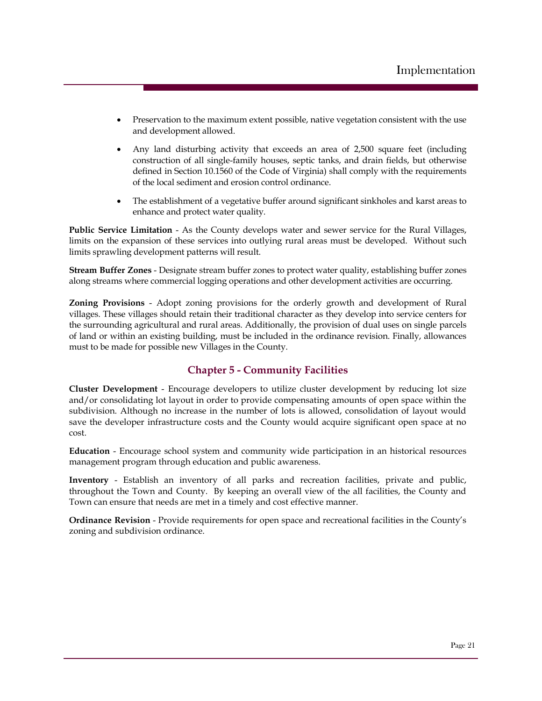- Preservation to the maximum extent possible, native vegetation consistent with the use and development allowed.
- Any land disturbing activity that exceeds an area of 2,500 square feet (including construction of all single-family houses, septic tanks, and drain fields, but otherwise defined in Section 10.1560 of the Code of Virginia) shall comply with the requirements of the local sediment and erosion control ordinance.
- The establishment of a vegetative buffer around significant sinkholes and karst areas to enhance and protect water quality.

**Public Service Limitation** - As the County develops water and sewer service for the Rural Villages, limits on the expansion of these services into outlying rural areas must be developed. Without such limits sprawling development patterns will result.

**Stream Buffer Zones** - Designate stream buffer zones to protect water quality, establishing buffer zones along streams where commercial logging operations and other development activities are occurring.

**Zoning Provisions** - Adopt zoning provisions for the orderly growth and development of Rural villages. These villages should retain their traditional character as they develop into service centers for the surrounding agricultural and rural areas. Additionally, the provision of dual uses on single parcels of land or within an existing building, must be included in the ordinance revision. Finally, allowances must to be made for possible new Villages in the County.

## **Chapter 5 - Community Facilities**

**Cluster Development** - Encourage developers to utilize cluster development by reducing lot size and/or consolidating lot layout in order to provide compensating amounts of open space within the subdivision. Although no increase in the number of lots is allowed, consolidation of layout would save the developer infrastructure costs and the County would acquire significant open space at no cost.

**Education** - Encourage school system and community wide participation in an historical resources management program through education and public awareness.

**Inventory** - Establish an inventory of all parks and recreation facilities, private and public, throughout the Town and County. By keeping an overall view of the all facilities, the County and Town can ensure that needs are met in a timely and cost effective manner.

**Ordinance Revision** - Provide requirements for open space and recreational facilities in the County's zoning and subdivision ordinance.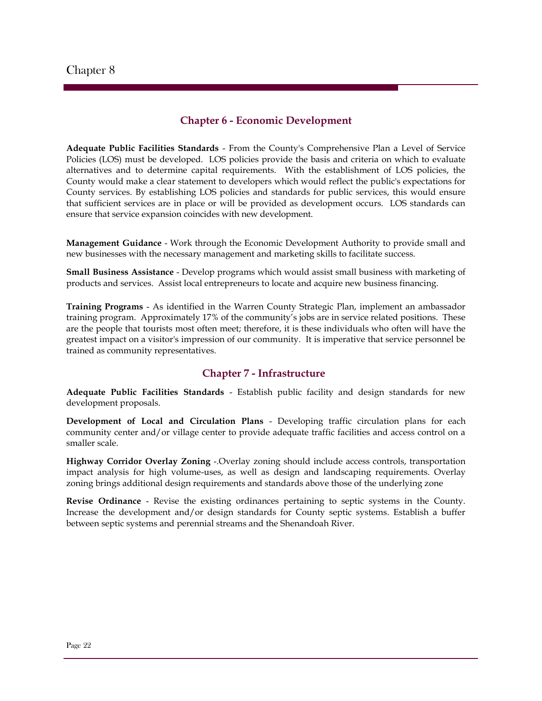## **Chapter 6 - Economic Development**

**Adequate Public Facilities Standards** - From the County's Comprehensive Plan a Level of Service Policies (LOS) must be developed. LOS policies provide the basis and criteria on which to evaluate alternatives and to determine capital requirements. With the establishment of LOS policies, the County would make a clear statement to developers which would reflect the public's expectations for County services. By establishing LOS policies and standards for public services, this would ensure that sufficient services are in place or will be provided as development occurs. LOS standards can ensure that service expansion coincides with new development.

**Management Guidance** - Work through the Economic Development Authority to provide small and new businesses with the necessary management and marketing skills to facilitate success.

**Small Business Assistance** - Develop programs which would assist small business with marketing of products and services. Assist local entrepreneurs to locate and acquire new business financing.

**Training Programs** - As identified in the Warren County Strategic Plan, implement an ambassador training program. Approximately 17% of the community's jobs are in service related positions. These are the people that tourists most often meet; therefore, it is these individuals who often will have the greatest impact on a visitor's impression of our community. It is imperative that service personnel be trained as community representatives.

#### **Chapter 7 - Infrastructure**

**Adequate Public Facilities Standards** - Establish public facility and design standards for new development proposals.

**Development of Local and Circulation Plans** - Developing traffic circulation plans for each community center and/or village center to provide adequate traffic facilities and access control on a smaller scale.

**Highway Corridor Overlay Zoning** -.Overlay zoning should include access controls, transportation impact analysis for high volume-uses, as well as design and landscaping requirements. Overlay zoning brings additional design requirements and standards above those of the underlying zone

**Revise Ordinance** - Revise the existing ordinances pertaining to septic systems in the County. Increase the development and/or design standards for County septic systems. Establish a buffer between septic systems and perennial streams and the Shenandoah River.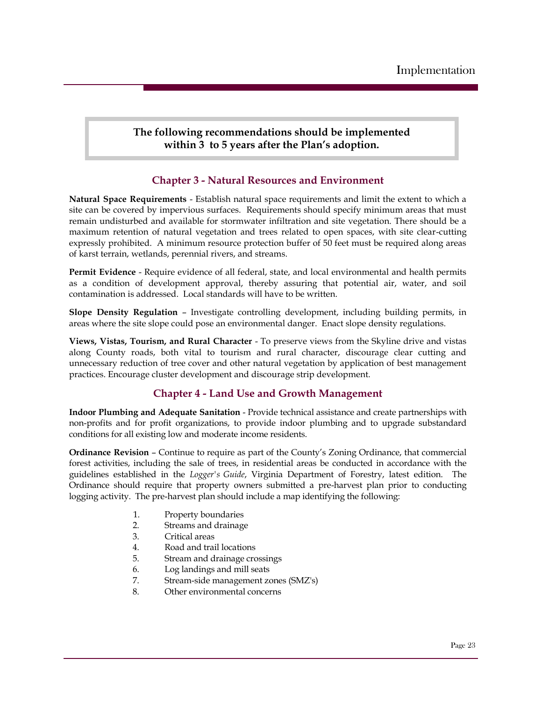**The following recommendations should be implemented within 3 to 5 years after the Plan's adoption.**

## **Chapter 3 - Natural Resources and Environment**

**Natural Space Requirements** - Establish natural space requirements and limit the extent to which a site can be covered by impervious surfaces. Requirements should specify minimum areas that must remain undisturbed and available for stormwater infiltration and site vegetation. There should be a maximum retention of natural vegetation and trees related to open spaces, with site clear-cutting expressly prohibited. A minimum resource protection buffer of 50 feet must be required along areas of karst terrain, wetlands, perennial rivers, and streams.

**Permit Evidence** - Require evidence of all federal, state, and local environmental and health permits as a condition of development approval, thereby assuring that potential air, water, and soil contamination is addressed. Local standards will have to be written.

**Slope Density Regulation** – Investigate controlling development, including building permits, in areas where the site slope could pose an environmental danger. Enact slope density regulations.

**Views, Vistas, Tourism, and Rural Character** - To preserve views from the Skyline drive and vistas along County roads, both vital to tourism and rural character, discourage clear cutting and unnecessary reduction of tree cover and other natural vegetation by application of best management practices. Encourage cluster development and discourage strip development.

## **Chapter 4 - Land Use and Growth Management**

**Indoor Plumbing and Adequate Sanitation** - Provide technical assistance and create partnerships with non-profits and for profit organizations, to provide indoor plumbing and to upgrade substandard conditions for all existing low and moderate income residents.

**Ordinance Revision** – Continue to require as part of the County's Zoning Ordinance, that commercial forest activities, including the sale of trees, in residential areas be conducted in accordance with the guidelines established in the *Logger's Guide*, Virginia Department of Forestry, latest edition. The Ordinance should require that property owners submitted a pre-harvest plan prior to conducting logging activity. The pre-harvest plan should include a map identifying the following:

- 1. Property boundaries
- 2. Streams and drainage
- 3. Critical areas
- 4. Road and trail locations
- 5. Stream and drainage crossings
- 6. Log landings and mill seats
- 7. Stream-side management zones (SMZ's)
- 8. Other environmental concerns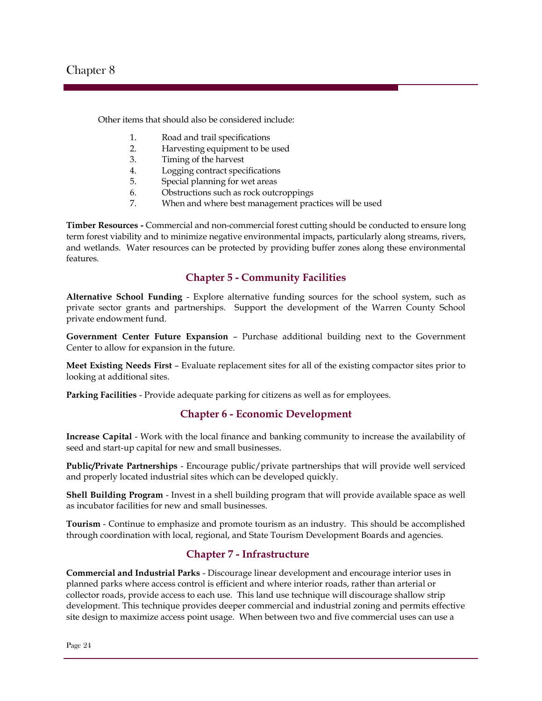Other items that should also be considered include:

- 1. Road and trail specifications
- 2. Harvesting equipment to be used
- 3. Timing of the harvest
- 4. Logging contract specifications
- 5. Special planning for wet areas
- 6. Obstructions such as rock outcroppings
- 7. When and where best management practices will be used

**Timber Resources -** Commercial and non-commercial forest cutting should be conducted to ensure long term forest viability and to minimize negative environmental impacts, particularly along streams, rivers, and wetlands. Water resources can be protected by providing buffer zones along these environmental features.

#### **Chapter 5 - Community Facilities**

**Alternative School Funding** - Explore alternative funding sources for the school system, such as private sector grants and partnerships. Support the development of the Warren County School private endowment fund.

**Government Center Future Expansion** – Purchase additional building next to the Government Center to allow for expansion in the future.

**Meet Existing Needs First** – Evaluate replacement sites for all of the existing compactor sites prior to looking at additional sites.

**Parking Facilities** - Provide adequate parking for citizens as well as for employees.

## **Chapter 6 - Economic Development**

**Increase Capital** - Work with the local finance and banking community to increase the availability of seed and start-up capital for new and small businesses.

**Public/Private Partnerships** - Encourage public/private partnerships that will provide well serviced and properly located industrial sites which can be developed quickly.

**Shell Building Program** - Invest in a shell building program that will provide available space as well as incubator facilities for new and small businesses.

**Tourism** - Continue to emphasize and promote tourism as an industry. This should be accomplished through coordination with local, regional, and State Tourism Development Boards and agencies.

## **Chapter 7 - Infrastructure**

**Commercial and Industrial Parks** - Discourage linear development and encourage interior uses in planned parks where access control is efficient and where interior roads, rather than arterial or collector roads, provide access to each use. This land use technique will discourage shallow strip development. This technique provides deeper commercial and industrial zoning and permits effective site design to maximize access point usage. When between two and five commercial uses can use a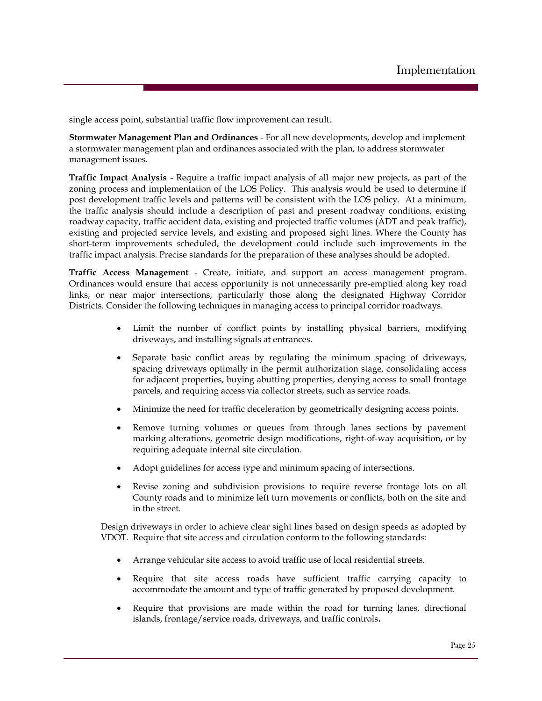single access point, substantial traffic flow improvement can result.

**Stormwater Management Plan and Ordinances** - For all new developments, develop and implement a stormwater management plan and ordinances associated with the plan, to address stormwater management issues.

**Traffic Impact Analysis** - Require a traffic impact analysis of all major new projects, as part of the zoning process and implementation of the LOS Policy. This analysis would be used to determine if post development traffic levels and patterns will be consistent with the LOS policy. At a minimum, the traffic analysis should include a description of past and present roadway conditions, existing roadway capacity, traffic accident data, existing and projected traffic volumes (ADT and peak traffic), existing and projected service levels, and existing and proposed sight lines. Where the County has short-term improvements scheduled, the development could include such improvements in the traffic impact analysis. Precise standards for the preparation of these analyses should be adopted.

**Traffic Access Management** - Create, initiate, and support an access management program. Ordinances would ensure that access opportunity is not unnecessarily pre-emptied along key road links, or near major intersections, particularly those along the designated Highway Corridor Districts. Consider the following techniques in managing access to principal corridor roadways.

- Limit the number of conflict points by installing physical barriers, modifying driveways, and installing signals at entrances.
- Separate basic conflict areas by regulating the minimum spacing of driveways, spacing driveways optimally in the permit authorization stage, consolidating access for adjacent properties, buying abutting properties, denying access to small frontage parcels, and requiring access via collector streets, such as service roads.
- Minimize the need for traffic deceleration by geometrically designing access points.
- Remove turning volumes or queues from through lanes sections by pavement marking alterations, geometric design modifications, right-of-way acquisition, or by requiring adequate internal site circulation.
- Adopt guidelines for access type and minimum spacing of intersections.
- Revise zoning and subdivision provisions to require reverse frontage lots on all County roads and to minimize left turn movements or conflicts, both on the site and in the street.

Design driveways in order to achieve clear sight lines based on design speeds as adopted by VDOT. Require that site access and circulation conform to the following standards:

- Arrange vehicular site access to avoid traffic use of local residential streets.
- Require that site access roads have sufficient traffic carrying capacity to accommodate the amount and type of traffic generated by proposed development.
- Require that provisions are made within the road for turning lanes, directional islands, frontage/service roads, driveways, and traffic controls**.**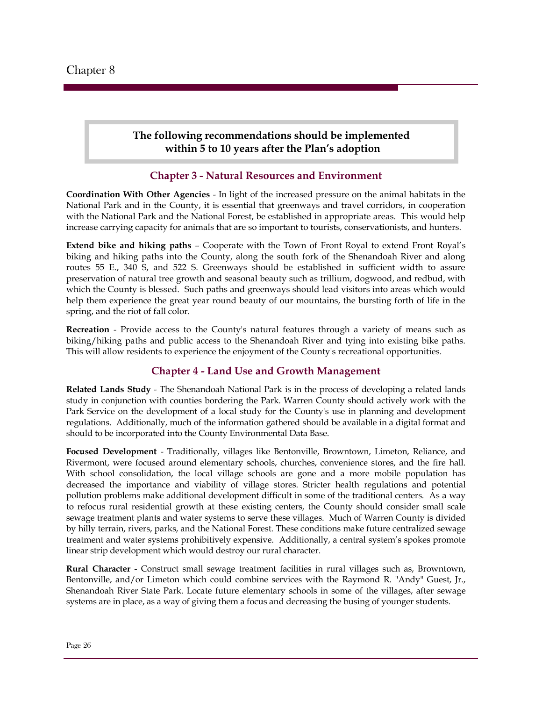## **The following recommendations should be implemented within 5 to 10 years after the Plan's adoption**

## **Chapter 3 - Natural Resources and Environment**

**Coordination With Other Agencies** - In light of the increased pressure on the animal habitats in the National Park and in the County, it is essential that greenways and travel corridors, in cooperation with the National Park and the National Forest, be established in appropriate areas. This would help increase carrying capacity for animals that are so important to tourists, conservationists, and hunters.

**Extend bike and hiking paths** – Cooperate with the Town of Front Royal to extend Front Royal's biking and hiking paths into the County, along the south fork of the Shenandoah River and along routes 55 E., 340 S, and 522 S. Greenways should be established in sufficient width to assure preservation of natural tree growth and seasonal beauty such as trillium, dogwood, and redbud, with which the County is blessed. Such paths and greenways should lead visitors into areas which would help them experience the great year round beauty of our mountains, the bursting forth of life in the spring, and the riot of fall color.

**Recreation** - Provide access to the County's natural features through a variety of means such as biking/hiking paths and public access to the Shenandoah River and tying into existing bike paths. This will allow residents to experience the enjoyment of the County's recreational opportunities.

## **Chapter 4 - Land Use and Growth Management**

**Related Lands Study** - The Shenandoah National Park is in the process of developing a related lands study in conjunction with counties bordering the Park. Warren County should actively work with the Park Service on the development of a local study for the County's use in planning and development regulations. Additionally, much of the information gathered should be available in a digital format and should to be incorporated into the County Environmental Data Base.

**Focused Development** - Traditionally, villages like Bentonville, Browntown, Limeton, Reliance, and Rivermont, were focused around elementary schools, churches, convenience stores, and the fire hall. With school consolidation, the local village schools are gone and a more mobile population has decreased the importance and viability of village stores. Stricter health regulations and potential pollution problems make additional development difficult in some of the traditional centers. As a way to refocus rural residential growth at these existing centers, the County should consider small scale sewage treatment plants and water systems to serve these villages. Much of Warren County is divided by hilly terrain, rivers, parks, and the National Forest. These conditions make future centralized sewage treatment and water systems prohibitively expensive. Additionally, a central system's spokes promote linear strip development which would destroy our rural character.

**Rural Character** - Construct small sewage treatment facilities in rural villages such as, Browntown, Bentonville, and/or Limeton which could combine services with the Raymond R. "Andy" Guest, Jr., Shenandoah River State Park. Locate future elementary schools in some of the villages, after sewage systems are in place, as a way of giving them a focus and decreasing the busing of younger students.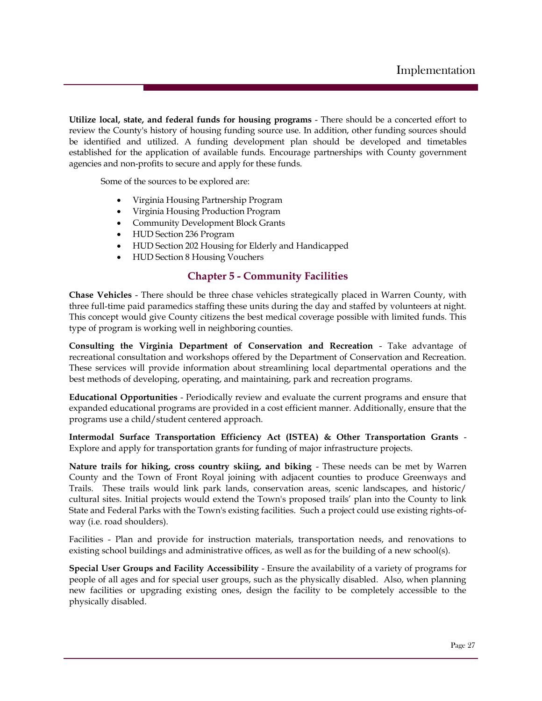**Utilize local, state, and federal funds for housing programs** - There should be a concerted effort to review the County's history of housing funding source use. In addition, other funding sources should be identified and utilized. A funding development plan should be developed and timetables established for the application of available funds. Encourage partnerships with County government agencies and non-profits to secure and apply for these funds.

Some of the sources to be explored are:

- Virginia Housing Partnership Program
- Virginia Housing Production Program
- Community Development Block Grants
- HUD Section 236 Program
- HUD Section 202 Housing for Elderly and Handicapped
- HUD Section 8 Housing Vouchers

#### **Chapter 5 - Community Facilities**

**Chase Vehicles** - There should be three chase vehicles strategically placed in Warren County, with three full-time paid paramedics staffing these units during the day and staffed by volunteers at night. This concept would give County citizens the best medical coverage possible with limited funds. This type of program is working well in neighboring counties.

**Consulting the Virginia Department of Conservation and Recreation** - Take advantage of recreational consultation and workshops offered by the Department of Conservation and Recreation. These services will provide information about streamlining local departmental operations and the best methods of developing, operating, and maintaining, park and recreation programs.

**Educational Opportunities** - Periodically review and evaluate the current programs and ensure that expanded educational programs are provided in a cost efficient manner. Additionally, ensure that the programs use a child/student centered approach.

**Intermodal Surface Transportation Efficiency Act (ISTEA) & Other Transportation Grants** - Explore and apply for transportation grants for funding of major infrastructure projects.

**Nature trails for hiking, cross country skiing, and biking** - These needs can be met by Warren County and the Town of Front Royal joining with adjacent counties to produce Greenways and Trails. These trails would link park lands, conservation areas, scenic landscapes, and historic/ cultural sites. Initial projects would extend the Town's proposed trails' plan into the County to link State and Federal Parks with the Town's existing facilities. Such a project could use existing rights-ofway (i.e. road shoulders).

Facilities - Plan and provide for instruction materials, transportation needs, and renovations to existing school buildings and administrative offices, as well as for the building of a new school(s).

**Special User Groups and Facility Accessibility** - Ensure the availability of a variety of programs for people of all ages and for special user groups, such as the physically disabled. Also, when planning new facilities or upgrading existing ones, design the facility to be completely accessible to the physically disabled.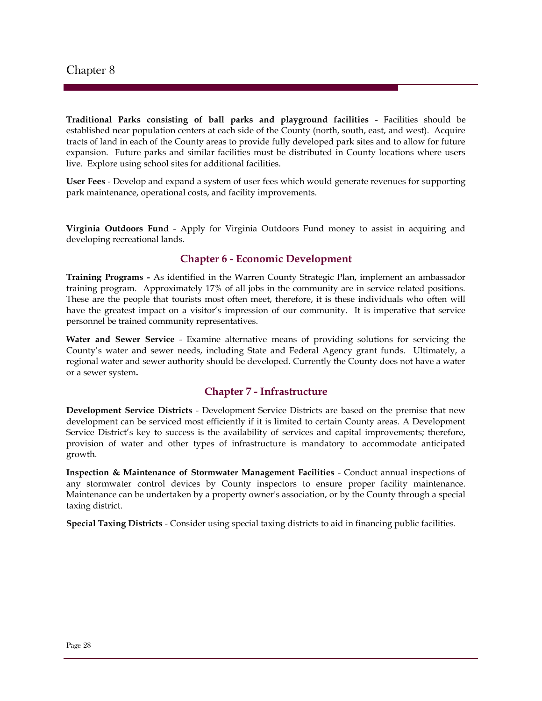**Traditional Parks consisting of ball parks and playground facilities** - Facilities should be established near population centers at each side of the County (north, south, east, and west). Acquire tracts of land in each of the County areas to provide fully developed park sites and to allow for future expansion. Future parks and similar facilities must be distributed in County locations where users live. Explore using school sites for additional facilities.

**User Fees** - Develop and expand a system of user fees which would generate revenues for supporting park maintenance, operational costs, and facility improvements.

**Virginia Outdoors Fun**d - Apply for Virginia Outdoors Fund money to assist in acquiring and developing recreational lands.

#### **Chapter 6 - Economic Development**

**Training Programs -** As identified in the Warren County Strategic Plan, implement an ambassador training program. Approximately 17% of all jobs in the community are in service related positions. These are the people that tourists most often meet, therefore, it is these individuals who often will have the greatest impact on a visitor's impression of our community. It is imperative that service personnel be trained community representatives.

**Water and Sewer Service** - Examine alternative means of providing solutions for servicing the County's water and sewer needs, including State and Federal Agency grant funds. Ultimately, a regional water and sewer authority should be developed. Currently the County does not have a water or a sewer system**.** 

#### **Chapter 7 - Infrastructure**

**Development Service Districts** - Development Service Districts are based on the premise that new development can be serviced most efficiently if it is limited to certain County areas. A Development Service District's key to success is the availability of services and capital improvements; therefore, provision of water and other types of infrastructure is mandatory to accommodate anticipated growth.

**Inspection & Maintenance of Stormwater Management Facilities** - Conduct annual inspections of any stormwater control devices by County inspectors to ensure proper facility maintenance. Maintenance can be undertaken by a property owner's association, or by the County through a special taxing district.

**Special Taxing Districts** - Consider using special taxing districts to aid in financing public facilities.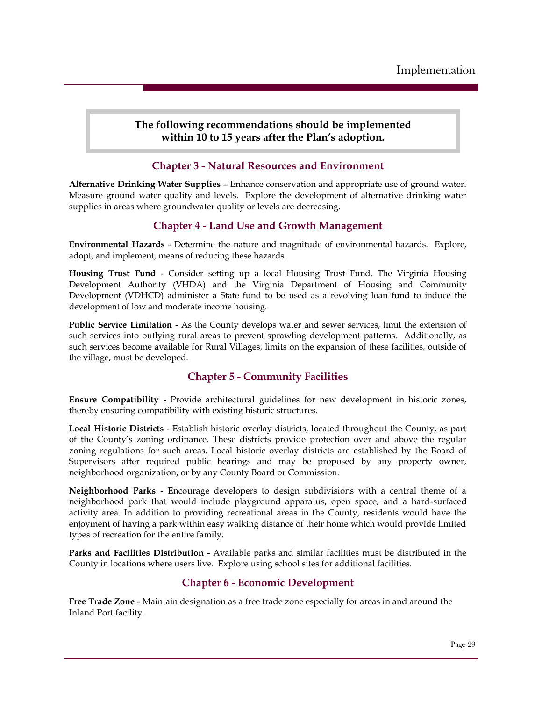## **The following recommendations should be implemented within 10 to 15 years after the Plan's adoption.**

## **Chapter 3 - Natural Resources and Environment**

**Alternative Drinking Water Supplies** – Enhance conservation and appropriate use of ground water. Measure ground water quality and levels. Explore the development of alternative drinking water supplies in areas where groundwater quality or levels are decreasing.

## **Chapter 4 - Land Use and Growth Management**

**Environmental Hazards** - Determine the nature and magnitude of environmental hazards. Explore, adopt, and implement, means of reducing these hazards.

**Housing Trust Fund** - Consider setting up a local Housing Trust Fund. The Virginia Housing Development Authority (VHDA) and the Virginia Department of Housing and Community Development (VDHCD) administer a State fund to be used as a revolving loan fund to induce the development of low and moderate income housing.

**Public Service Limitation** - As the County develops water and sewer services, limit the extension of such services into outlying rural areas to prevent sprawling development patterns. Additionally, as such services become available for Rural Villages, limits on the expansion of these facilities, outside of the village, must be developed.

## **Chapter 5 - Community Facilities**

**Ensure Compatibility** - Provide architectural guidelines for new development in historic zones, thereby ensuring compatibility with existing historic structures.

**Local Historic Districts** - Establish historic overlay districts, located throughout the County, as part of the County's zoning ordinance. These districts provide protection over and above the regular zoning regulations for such areas. Local historic overlay districts are established by the Board of Supervisors after required public hearings and may be proposed by any property owner, neighborhood organization, or by any County Board or Commission.

**Neighborhood Parks** - Encourage developers to design subdivisions with a central theme of a neighborhood park that would include playground apparatus, open space, and a hard-surfaced activity area. In addition to providing recreational areas in the County, residents would have the enjoyment of having a park within easy walking distance of their home which would provide limited types of recreation for the entire family.

**Parks and Facilities Distribution** - Available parks and similar facilities must be distributed in the County in locations where users live. Explore using school sites for additional facilities.

## **Chapter 6 - Economic Development**

**Free Trade Zone** - Maintain designation as a free trade zone especially for areas in and around the Inland Port facility.